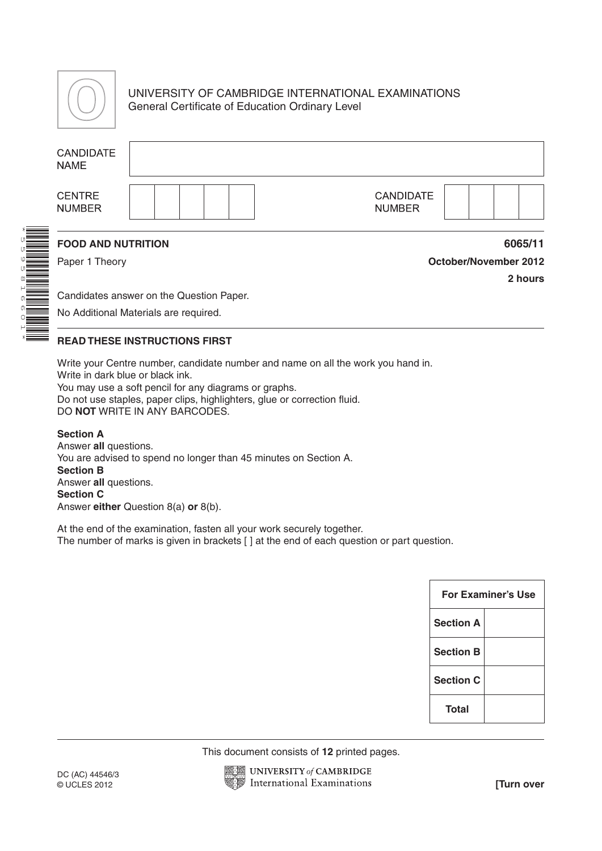

UNIVERSITY OF CAMBRIDGE INTERNATIONAL EXAMINATIONS General Certificate of Education Ordinary Level

| <b>CANDIDATE</b><br><b>NAME</b>             |                                                                               |                                   |                                                    |
|---------------------------------------------|-------------------------------------------------------------------------------|-----------------------------------|----------------------------------------------------|
| <b>CENTRE</b><br><b>NUMBER</b>              |                                                                               | <b>CANDIDATE</b><br><b>NUMBER</b> |                                                    |
| <b>FOOD AND NUTRITION</b><br>Paper 1 Theory |                                                                               |                                   | 6065/11<br><b>October/November 2012</b><br>2 hours |
|                                             | Candidates answer on the Question Paper.                                      |                                   |                                                    |
|                                             | No Additional Materials are required.<br><b>READ THESE INSTRUCTIONS FIRST</b> |                                   |                                                    |

Write your Centre number, candidate number and name on all the work you hand in. Write in dark blue or black ink. You may use a soft pencil for any diagrams or graphs. Do not use staples, paper clips, highlighters, glue or correction fluid. DO **NOT** WRITE IN ANY BARCODES.

**Section A** Answer **all** questions. You are advised to spend no longer than 45 minutes on Section A. **Section B** Answer **all** questions. **Section C** Answer **either** Question 8(a) **or** 8(b).

At the end of the examination, fasten all your work securely together. The number of marks is given in brackets [ ] at the end of each question or part question.

|                  | <b>For Examiner's Use</b> |
|------------------|---------------------------|
| <b>Section A</b> |                           |
| <b>Section B</b> |                           |
| <b>Section C</b> |                           |
| Total            |                           |

This document consists of **12** printed pages.

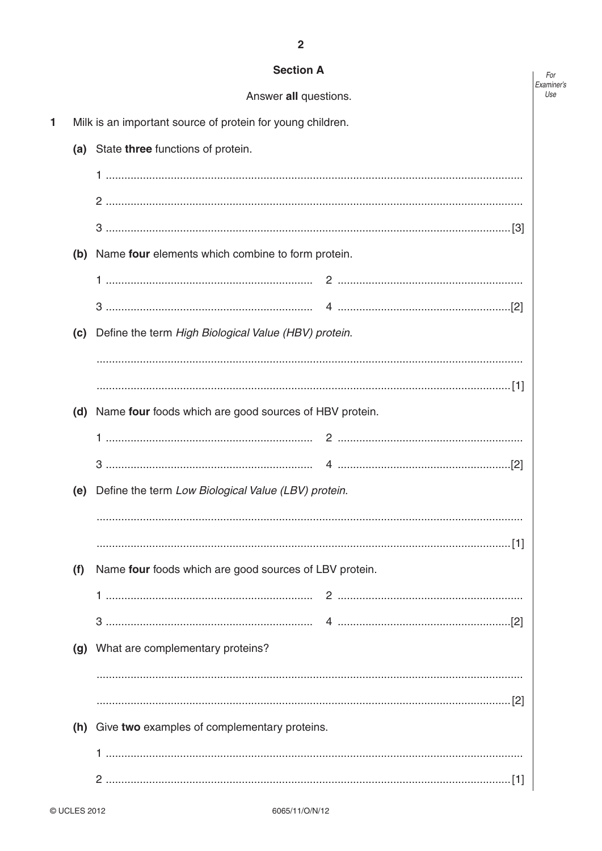|     | <b>Section A</b>                                           | For               |
|-----|------------------------------------------------------------|-------------------|
|     | Answer all questions.                                      | Examiner's<br>Use |
|     | Milk is an important source of protein for young children. |                   |
|     | (a) State three functions of protein.                      |                   |
|     |                                                            |                   |
|     |                                                            |                   |
|     |                                                            |                   |
|     | (b) Name four elements which combine to form protein.      |                   |
|     |                                                            |                   |
|     |                                                            |                   |
| (c) | Define the term High Biological Value (HBV) protein.       |                   |
|     |                                                            |                   |
|     |                                                            |                   |
|     | (d) Name four foods which are good sources of HBV protein. |                   |
|     |                                                            |                   |
|     |                                                            |                   |
| (e) | Define the term Low Biological Value (LBV) protein.        |                   |
|     |                                                            |                   |
|     |                                                            |                   |
| (f) | Name four foods which are good sources of LBV protein.     |                   |
|     |                                                            |                   |
|     |                                                            |                   |
|     | (g) What are complementary proteins?                       |                   |
|     |                                                            |                   |
|     |                                                            |                   |
|     | (h) Give two examples of complementary proteins.           |                   |
|     |                                                            |                   |
|     | $2$                                                        |                   |

## © UCLES 2012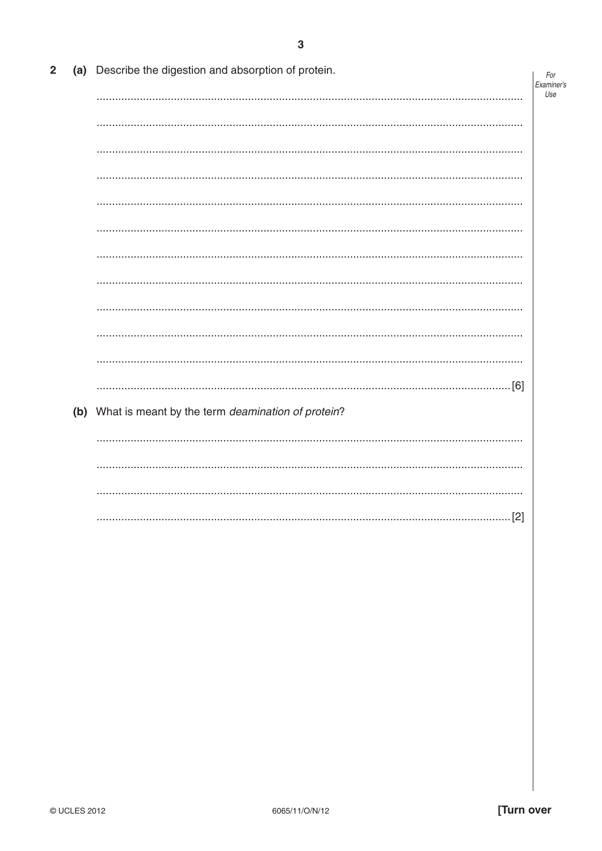| $\overline{2}$ | (a) Describe the digestion and absorption of protein. | For               |
|----------------|-------------------------------------------------------|-------------------|
|                |                                                       | Examiner's<br>Use |
|                |                                                       |                   |
|                |                                                       |                   |
|                |                                                       |                   |
|                |                                                       |                   |
|                |                                                       |                   |
|                |                                                       |                   |
|                |                                                       |                   |
|                |                                                       |                   |
|                |                                                       |                   |
|                |                                                       |                   |
|                |                                                       |                   |
|                | (b) What is meant by the term deamination of protein? |                   |
|                |                                                       |                   |
|                |                                                       |                   |
|                |                                                       |                   |
|                |                                                       |                   |

 $\overline{\mathbf{3}}$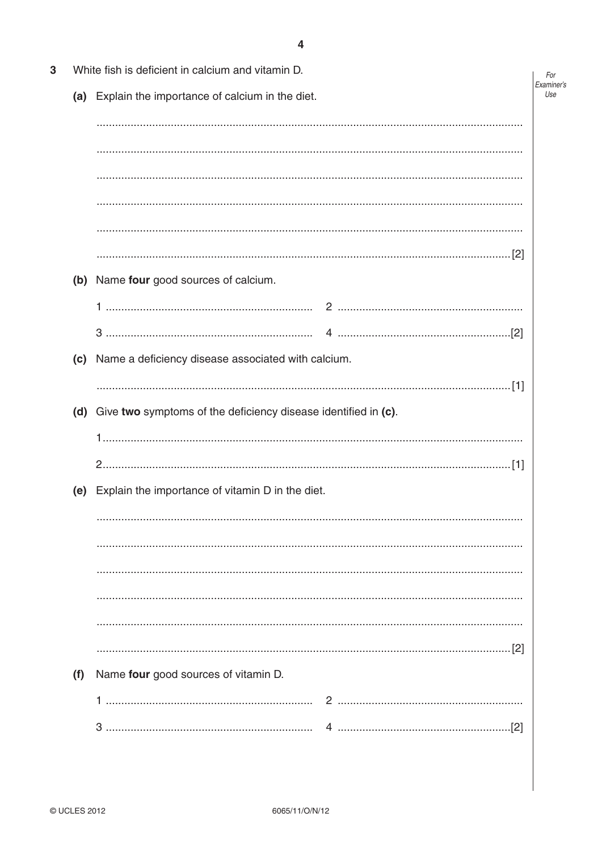|     | White fish is deficient in calcium and vitamin D.                  | Examiner's |
|-----|--------------------------------------------------------------------|------------|
|     | (a) Explain the importance of calcium in the diet.                 |            |
|     |                                                                    |            |
|     |                                                                    |            |
|     |                                                                    |            |
|     |                                                                    |            |
|     |                                                                    |            |
|     |                                                                    |            |
|     |                                                                    |            |
|     | (b) Name four good sources of calcium.                             |            |
|     |                                                                    |            |
|     |                                                                    |            |
|     | (c) Name a deficiency disease associated with calcium.             |            |
|     |                                                                    |            |
|     | (d) Give two symptoms of the deficiency disease identified in (c). |            |
|     |                                                                    |            |
|     |                                                                    |            |
|     |                                                                    |            |
| (e) | Explain the importance of vitamin D in the diet.                   |            |
|     |                                                                    |            |
|     |                                                                    |            |
|     |                                                                    |            |
|     |                                                                    |            |
|     |                                                                    |            |
|     |                                                                    |            |
|     |                                                                    |            |
| (f) | Name four good sources of vitamin D.                               |            |
|     |                                                                    |            |

 $\overline{\mathbf{4}}$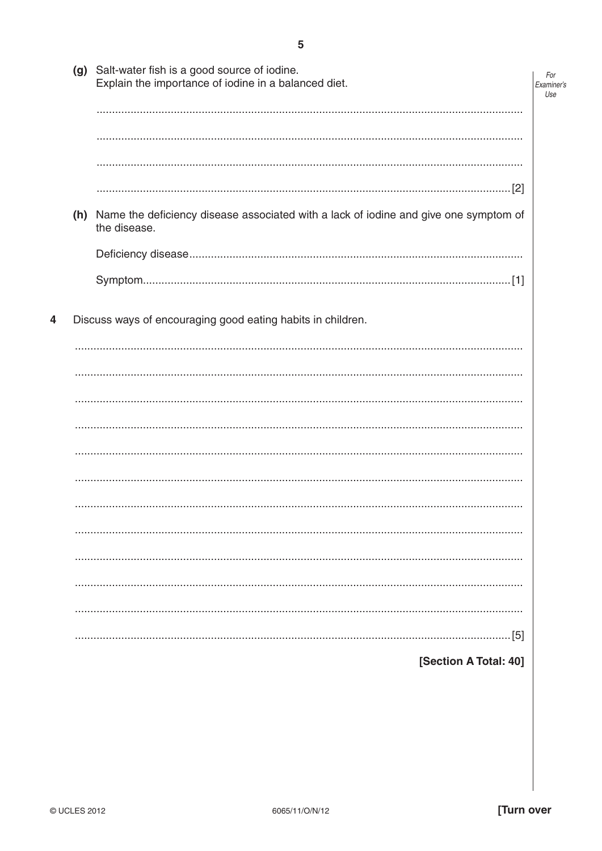| (g) Salt-water fish is a good source of iodine.<br>Explain the importance of iodine in a balanced diet.  | Examiner's |
|----------------------------------------------------------------------------------------------------------|------------|
|                                                                                                          |            |
|                                                                                                          |            |
|                                                                                                          |            |
|                                                                                                          |            |
| (h) Name the deficiency disease associated with a lack of iodine and give one symptom of<br>the disease. |            |
|                                                                                                          |            |
|                                                                                                          |            |
| Discuss ways of encouraging good eating habits in children.                                              |            |
|                                                                                                          |            |
|                                                                                                          |            |
|                                                                                                          |            |
|                                                                                                          |            |
|                                                                                                          |            |
|                                                                                                          |            |
|                                                                                                          |            |
|                                                                                                          |            |
|                                                                                                          |            |
|                                                                                                          |            |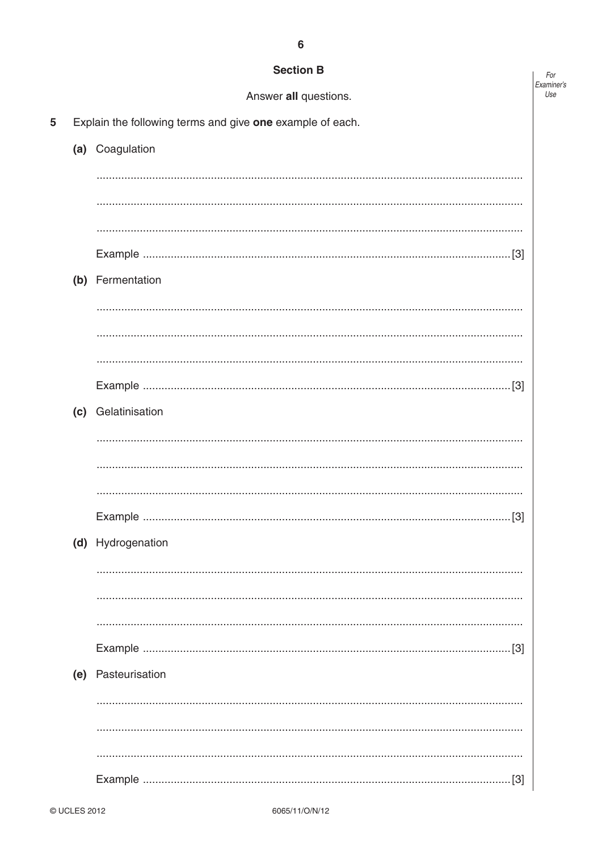|   | <b>Section B</b>                                          | For               |
|---|-----------------------------------------------------------|-------------------|
|   | Answer all questions.                                     | Examiner's<br>Use |
| 5 | Explain the following terms and give one example of each. |                   |
|   | (a) Coagulation                                           |                   |
|   |                                                           |                   |
|   |                                                           |                   |
|   |                                                           |                   |
|   |                                                           |                   |
|   | (b) Fermentation                                          |                   |
|   |                                                           |                   |
|   |                                                           |                   |
|   |                                                           |                   |
|   |                                                           |                   |
|   | (c) Gelatinisation                                        |                   |
|   |                                                           |                   |
|   |                                                           |                   |
|   |                                                           |                   |
|   |                                                           |                   |
|   | (d) Hydrogenation                                         |                   |
|   |                                                           |                   |
|   |                                                           |                   |
|   |                                                           |                   |
|   | (e) Pasteurisation                                        |                   |
|   |                                                           |                   |
|   |                                                           |                   |
|   |                                                           |                   |
|   |                                                           |                   |
|   |                                                           |                   |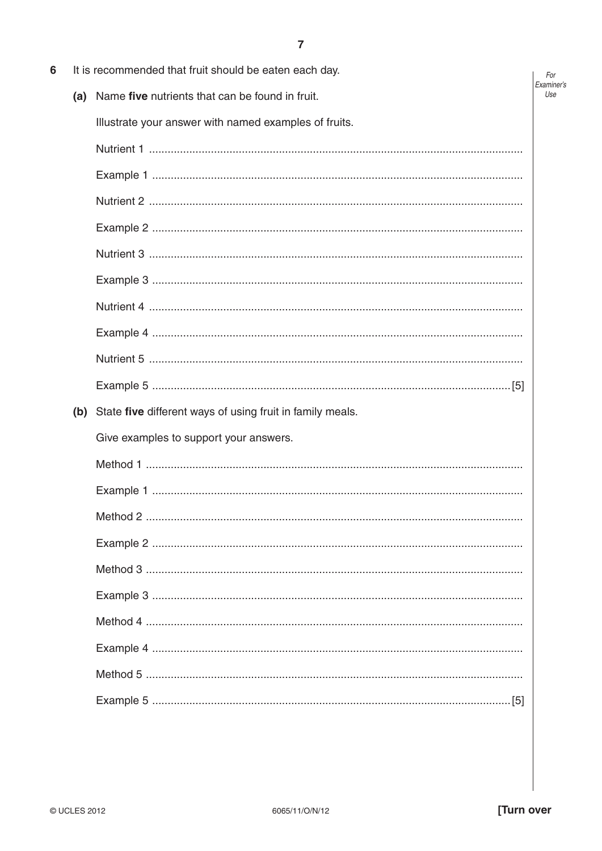| 6 | It is recommended that fruit should be eaten each day.        | For               |
|---|---------------------------------------------------------------|-------------------|
|   | (a) Name five nutrients that can be found in fruit.           | Examiner's<br>Use |
|   | Illustrate your answer with named examples of fruits.         |                   |
|   |                                                               |                   |
|   |                                                               |                   |
|   |                                                               |                   |
|   |                                                               |                   |
|   |                                                               |                   |
|   |                                                               |                   |
|   |                                                               |                   |
|   |                                                               |                   |
|   |                                                               |                   |
|   |                                                               |                   |
|   | (b) State five different ways of using fruit in family meals. |                   |
|   | Give examples to support your answers.                        |                   |
|   |                                                               |                   |
|   |                                                               |                   |
|   |                                                               |                   |
|   |                                                               |                   |
|   |                                                               |                   |
|   |                                                               |                   |
|   |                                                               |                   |
|   |                                                               |                   |
|   |                                                               |                   |
|   |                                                               |                   |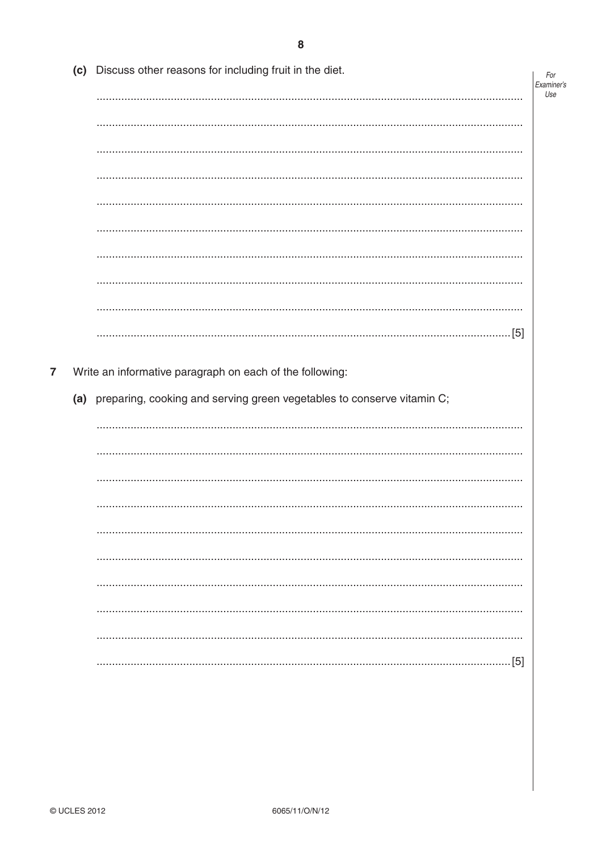| (c) Discuss other reasons for including fruit in the diet.                 | For               |
|----------------------------------------------------------------------------|-------------------|
|                                                                            | Examiner's<br>Use |
|                                                                            |                   |
|                                                                            |                   |
|                                                                            |                   |
|                                                                            |                   |
|                                                                            |                   |
|                                                                            |                   |
|                                                                            |                   |
|                                                                            |                   |
|                                                                            |                   |
| [5]                                                                        |                   |
|                                                                            |                   |
| Write an informative paragraph on each of the following:                   |                   |
| (a) preparing, cooking and serving green vegetables to conserve vitamin C; |                   |
|                                                                            |                   |
|                                                                            |                   |
|                                                                            |                   |
|                                                                            |                   |
|                                                                            |                   |
|                                                                            |                   |
|                                                                            |                   |
|                                                                            |                   |
|                                                                            |                   |
|                                                                            |                   |
|                                                                            |                   |

 $\overline{7}$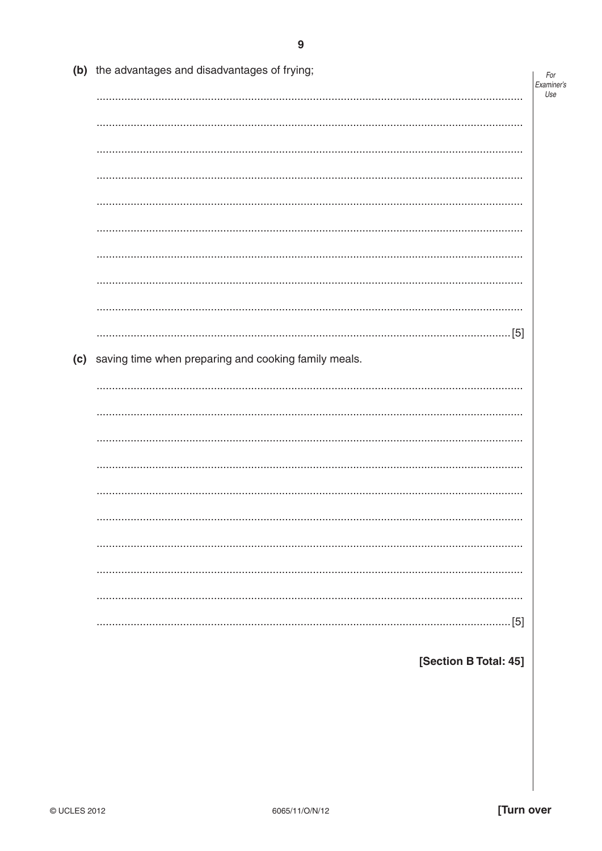| (b) the advantages and disadvantages of frying;          | For               |
|----------------------------------------------------------|-------------------|
|                                                          | Examiner's<br>Use |
|                                                          |                   |
|                                                          |                   |
|                                                          |                   |
|                                                          |                   |
|                                                          |                   |
|                                                          |                   |
|                                                          |                   |
|                                                          |                   |
|                                                          |                   |
|                                                          |                   |
|                                                          |                   |
|                                                          |                   |
|                                                          |                   |
|                                                          |                   |
|                                                          |                   |
|                                                          |                   |
| (c) saving time when preparing and cooking family meals. |                   |
|                                                          |                   |
|                                                          |                   |
|                                                          |                   |
|                                                          |                   |
|                                                          |                   |
|                                                          |                   |
|                                                          |                   |
|                                                          |                   |
| .                                                        |                   |
|                                                          |                   |
|                                                          |                   |
|                                                          |                   |
|                                                          |                   |
|                                                          |                   |
|                                                          |                   |

## [Section B Total: 45]

 $\boldsymbol{9}$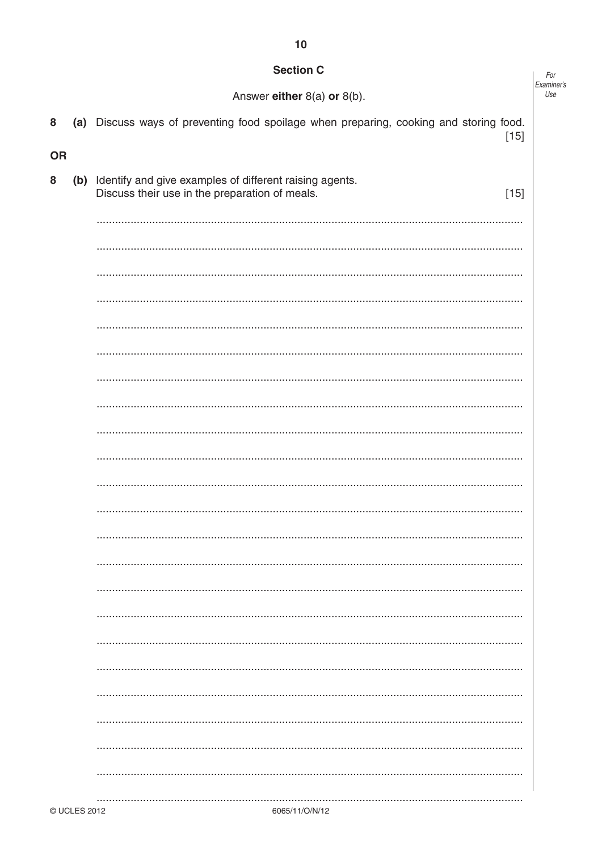## **Section C**

|           | <b>Section C</b>                                                                                                        | For               |
|-----------|-------------------------------------------------------------------------------------------------------------------------|-------------------|
|           | Answer either 8(a) or 8(b).                                                                                             | Examiner's<br>Use |
| 8         | (a) Discuss ways of preventing food spoilage when preparing, cooking and storing food.<br>$[15]$                        |                   |
| <b>OR</b> |                                                                                                                         |                   |
| 8         | (b) Identify and give examples of different raising agents.<br>Discuss their use in the preparation of meals.<br>$[15]$ |                   |
|           |                                                                                                                         |                   |
|           |                                                                                                                         |                   |
|           |                                                                                                                         |                   |
|           |                                                                                                                         |                   |
|           |                                                                                                                         |                   |
|           |                                                                                                                         |                   |
|           |                                                                                                                         |                   |
|           |                                                                                                                         |                   |
|           |                                                                                                                         |                   |
|           |                                                                                                                         |                   |
|           |                                                                                                                         |                   |
|           |                                                                                                                         |                   |
|           |                                                                                                                         |                   |
|           |                                                                                                                         |                   |
|           |                                                                                                                         |                   |
|           |                                                                                                                         |                   |
|           |                                                                                                                         |                   |
|           |                                                                                                                         |                   |
|           |                                                                                                                         |                   |
|           |                                                                                                                         |                   |
|           |                                                                                                                         |                   |
|           |                                                                                                                         |                   |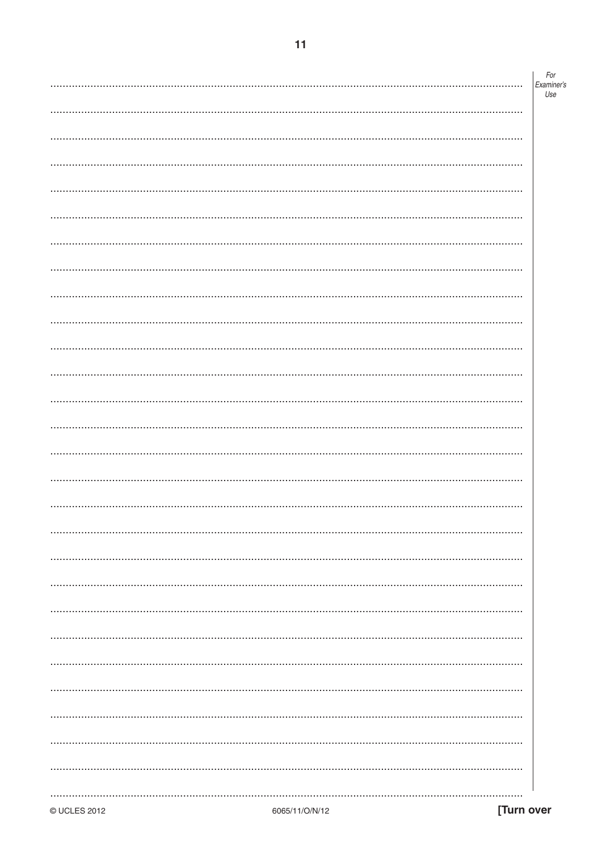| For        |
|------------|
| Examiner's |
| Use        |

 $11$